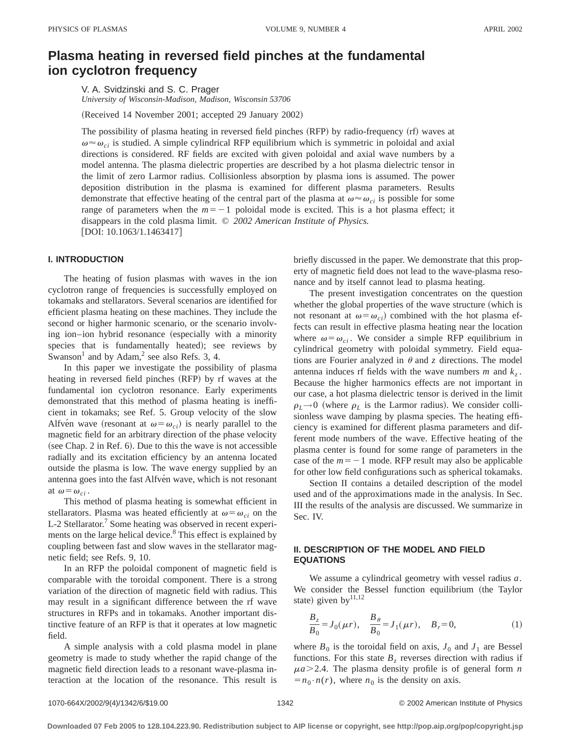# **Plasma heating in reversed field pinches at the fundamental ion cyclotron frequency**

V. A. Svidzinski and S. C. Prager *University of Wisconsin-Madison, Madison, Wisconsin 53706*

(Received 14 November 2001; accepted 29 January 2002)

The possibility of plasma heating in reversed field pinches (RFP) by radio-frequency (rf) waves at  $\omega \approx \omega_{ci}$  is studied. A simple cylindrical RFP equilibrium which is symmetric in poloidal and axial directions is considered. RF fields are excited with given poloidal and axial wave numbers by a model antenna. The plasma dielectric properties are described by a hot plasma dielectric tensor in the limit of zero Larmor radius. Collisionless absorption by plasma ions is assumed. The power deposition distribution in the plasma is examined for different plasma parameters. Results demonstrate that effective heating of the central part of the plasma at  $\omega \approx \omega_{ci}$  is possible for some range of parameters when the  $m=-1$  poloidal mode is excited. This is a hot plasma effect; it disappears in the cold plasma limit. © *2002 American Institute of Physics.*  $[DOI: 10.1063/1.1463417]$ 

## **I. INTRODUCTION**

The heating of fusion plasmas with waves in the ion cyclotron range of frequencies is successfully employed on tokamaks and stellarators. Several scenarios are identified for efficient plasma heating on these machines. They include the second or higher harmonic scenario, or the scenario involving ion–ion hybrid resonance (especially with a minority species that is fundamentally heated); see reviews by Swanson<sup>1</sup> and by Adam,<sup>2</sup> see also Refs. 3, 4.

In this paper we investigate the possibility of plasma heating in reversed field pinches (RFP) by rf waves at the fundamental ion cyclotron resonance. Early experiments demonstrated that this method of plasma heating is inefficient in tokamaks; see Ref. 5. Group velocity of the slow Alfve<sup>n</sup> wave (resonant at  $\omega = \omega_{ci}$ ) is nearly parallel to the magnetic field for an arbitrary direction of the phase velocity (see Chap. 2 in Ref.  $6$ ). Due to this the wave is not accessible radially and its excitation efficiency by an antenna located outside the plasma is low. The wave energy supplied by an antenna goes into the fast Alfvén wave, which is not resonant at  $\omega = \omega_{ci}$ .

This method of plasma heating is somewhat efficient in stellarators. Plasma was heated efficiently at  $\omega = \omega_{ci}$  on the L-2 Stellarator.<sup>7</sup> Some heating was observed in recent experiments on the large helical device.<sup>8</sup> This effect is explained by coupling between fast and slow waves in the stellarator magnetic field; see Refs. 9, 10.

In an RFP the poloidal component of magnetic field is comparable with the toroidal component. There is a strong variation of the direction of magnetic field with radius. This may result in a significant difference between the rf wave structures in RFPs and in tokamaks. Another important distinctive feature of an RFP is that it operates at low magnetic field.

A simple analysis with a cold plasma model in plane geometry is made to study whether the rapid change of the magnetic field direction leads to a resonant wave-plasma interaction at the location of the resonance. This result is briefly discussed in the paper. We demonstrate that this property of magnetic field does not lead to the wave-plasma resonance and by itself cannot lead to plasma heating.

The present investigation concentrates on the question whether the global properties of the wave structure (which is not resonant at  $\omega = \omega_{ci}$  combined with the hot plasma effects can result in effective plasma heating near the location where  $\omega = \omega_{ci}$ . We consider a simple RFP equilibrium in cylindrical geometry with poloidal symmetry. Field equations are Fourier analyzed in  $\theta$  and *z* directions. The model antenna induces rf fields with the wave numbers  $m$  and  $k_z$ . Because the higher harmonics effects are not important in our case, a hot plasma dielectric tensor is derived in the limit  $\rho_L \rightarrow 0$  (where  $\rho_L$  is the Larmor radius). We consider collisionless wave damping by plasma species. The heating efficiency is examined for different plasma parameters and different mode numbers of the wave. Effective heating of the plasma center is found for some range of parameters in the case of the  $m = -1$  mode. RFP result may also be applicable for other low field configurations such as spherical tokamaks.

Section II contains a detailed description of the model used and of the approximations made in the analysis. In Sec. III the results of the analysis are discussed. We summarize in Sec. IV.

## **II. DESCRIPTION OF THE MODEL AND FIELD EQUATIONS**

We assume a cylindrical geometry with vessel radius *a*. We consider the Bessel function equilibrium (the Taylor state) given by $^{11,12}$ 

$$
\frac{B_z}{B_0} = J_0(\mu r), \quad \frac{B_\theta}{B_0} = J_1(\mu r), \quad B_r = 0,
$$
 (1)

where  $B_0$  is the toroidal field on axis,  $J_0$  and  $J_1$  are Bessel functions. For this state  $B<sub>z</sub>$  reverses direction with radius if  $\mu a$   $>$  2.4. The plasma density profile is of general form *n*  $=n_0 \cdot n(r)$ , where  $n_0$  is the density on axis.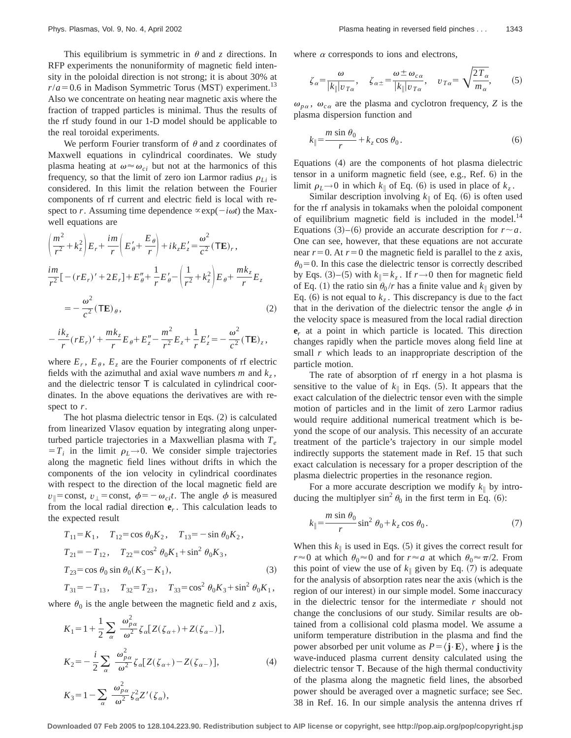This equilibrium is symmetric in  $\theta$  and *z* directions. In RFP experiments the nonuniformity of magnetic field intensity in the poloidal direction is not strong; it is about 30% at  $r/a = 0.6$  in Madison Symmetric Torus (MST) experiment.<sup>13</sup> Also we concentrate on heating near magnetic axis where the fraction of trapped particles is minimal. Thus the results of the rf study found in our 1-D model should be applicable to the real toroidal experiments.

We perform Fourier transform of  $\theta$  and  $\zeta$  coordinates of Maxwell equations in cylindrical coordinates. We study plasma heating at  $\omega \approx \omega_{ci}$  but not at the harmonics of this frequency, so that the limit of zero ion Larmor radius  $\rho_{Li}$  is considered. In this limit the relation between the Fourier components of rf current and electric field is local with respect to *r*. Assuming time dependence  $\propto \exp(-i\omega t)$  the Maxwell equations are

$$
\left(\frac{m^{2}}{r^{2}}+k_{z}^{2}\right)E_{r}+\frac{im}{r}\left(E'_{\theta}+\frac{E_{\theta}}{r}\right)+ik_{z}E'_{z}=\frac{\omega^{2}}{c^{2}}(\mathbf{TE})_{r},
$$
\n
$$
\frac{im}{r^{2}}[-(rE_{r})'+2E_{r}]+E''_{\theta}+\frac{1}{r}E'_{\theta}-\left(\frac{1}{r^{2}}+k_{z}^{2}\right)E_{\theta}+\frac{mk_{z}}{r}E_{z}
$$
\n
$$
=-\frac{\omega^{2}}{c^{2}}(\mathbf{TE})_{\theta},
$$
\n(2)

$$
-\frac{ik_z}{r}(rE_r)'+\frac{mk_z}{r}E_\theta+E_z''-\frac{m^2}{r^2}E_z+\frac{1}{r}E_z'=-\frac{\omega^2}{c^2}(\mathbf{TE})_z,
$$

where  $E_r$ ,  $E_\theta$ ,  $E_z$  are the Fourier components of rf electric fields with the azimuthal and axial wave numbers  $m$  and  $k_z$ , and the dielectric tensor T is calculated in cylindrical coordinates. In the above equations the derivatives are with respect to *r*.

The hot plasma dielectric tensor in Eqs.  $(2)$  is calculated from linearized Vlasov equation by integrating along unperturbed particle trajectories in a Maxwellian plasma with *Te*  $T_i$  in the limit  $\rho_L \rightarrow 0$ . We consider simple trajectories along the magnetic field lines without drifts in which the components of the ion velocity in cylindrical coordinates with respect to the direction of the local magnetic field are *v*<sub>1</sub>=const, *v*<sub>1</sub> = const,  $\phi$ = -  $\omega_{ci}t$ . The angle  $\phi$  is measured from the local radial direction  $e_r$ . This calculation leads to the expected result

$$
T_{11} = K_1, \quad T_{12} = \cos \theta_0 K_2, \quad T_{13} = -\sin \theta_0 K_2,
$$
  
\n
$$
T_{21} = -T_{12}, \quad T_{22} = \cos^2 \theta_0 K_1 + \sin^2 \theta_0 K_3,
$$
  
\n
$$
T_{23} = \cos \theta_0 \sin \theta_0 (K_3 - K_1),
$$
  
\n
$$
T_{31} = -T_{13}, \quad T_{32} = T_{23}, \quad T_{33} = \cos^2 \theta_0 K_3 + \sin^2 \theta_0 K_1,
$$
  
\n(3)

where  $\theta_0$  is the angle between the magnetic field and *z* axis,

$$
K_1 = 1 + \frac{1}{2} \sum_{\alpha} \frac{\omega_{p\alpha}^2}{\omega^2} \zeta_{\alpha} [Z(\zeta_{\alpha+}) + Z(\zeta_{\alpha-})],
$$
  

$$
K_2 = -\frac{i}{2} \sum_{\alpha} \frac{\omega_{p\alpha}^2}{\omega^2} \zeta_{\alpha} [Z(\zeta_{\alpha+}) - Z(\zeta_{\alpha-})],
$$
 (4)

$$
K_3 = 1 - \sum_{\alpha} \frac{\omega_{p\alpha}^2}{\omega^2} \zeta_{\alpha}^2 Z'(\zeta_{\alpha}),
$$

where  $\alpha$  corresponds to ions and electrons,

$$
\zeta_{\alpha} = \frac{\omega}{|k_{\parallel}|v_{T\alpha}}, \quad \zeta_{\alpha \pm} = \frac{\omega \pm \omega_{c\alpha}}{|k_{\parallel}|v_{T\alpha}}, \quad v_{T\alpha} = \sqrt{\frac{2T_{\alpha}}{m_{\alpha}}}, \quad (5)
$$

 $\omega_{p\alpha}$ ,  $\omega_{c\alpha}$  are the plasma and cyclotron frequency, *Z* is the plasma dispersion function and

$$
k_{\parallel} = \frac{m \sin \theta_0}{r} + k_z \cos \theta_0.
$$
 (6)

Equations  $(4)$  are the components of hot plasma dielectric tensor in a uniform magnetic field (see, e.g., Ref. 6) in the limit  $\rho_L \rightarrow 0$  in which  $k_{\parallel}$  of Eq. (6) is used in place of  $k_z$ .

Similar description involving  $k_{\parallel}$  of Eq. (6) is often used for the rf analysis in tokamaks when the poloidal component of equilibrium magnetic field is included in the model. $14$ Equations  $(3)$ – $(6)$  provide an accurate description for  $r \sim a$ . One can see, however, that these equations are not accurate near  $r=0$ . At  $r=0$  the magnetic field is parallel to the *z* axis,  $\theta_0$  = 0. In this case the dielectric tensor is correctly described by Eqs.  $(3)$ – $(5)$  with  $k_{\parallel} = k_z$ . If  $r \rightarrow 0$  then for magnetic field of Eq. (1) the ratio  $\sin \theta_0 / r$  has a finite value and  $k_{\parallel}$  given by Eq. (6) is not equal to  $k_z$ . This discrepancy is due to the fact that in the derivation of the dielectric tensor the angle  $\phi$  in the velocity space is measured from the local radial direction **e***<sup>r</sup>* at a point in which particle is located. This direction changes rapidly when the particle moves along field line at small *r* which leads to an inappropriate description of the particle motion.

The rate of absorption of rf energy in a hot plasma is sensitive to the value of  $k_{\parallel}$  in Eqs. (5). It appears that the exact calculation of the dielectric tensor even with the simple motion of particles and in the limit of zero Larmor radius would require additional numerical treatment which is beyond the scope of our analysis. This necessity of an accurate treatment of the particle's trajectory in our simple model indirectly supports the statement made in Ref. 15 that such exact calculation is necessary for a proper description of the plasma dielectric properties in the resonance region.

For a more accurate description we modify  $k_{\parallel}$  by introducing the multiplyer  $\sin^2 \theta_0$  in the first term in Eq. (6):

$$
k_{\parallel} = \frac{m \sin \theta_0}{r} \sin^2 \theta_0 + k_z \cos \theta_0. \tag{7}
$$

When this  $k_{\parallel}$  is used in Eqs. (5) it gives the correct result for  $r \approx 0$  at which  $\theta_0 \approx 0$  and for  $r \approx a$  at which  $\theta_0 \approx \pi/2$ . From this point of view the use of  $k_{\parallel}$  given by Eq. (7) is adequate for the analysis of absorption rates near the axis (which is the region of our interest) in our simple model. Some inaccuracy in the dielectric tensor for the intermediate *r* should not change the conclusions of our study. Similar results are obtained from a collisional cold plasma model. We assume a uniform temperature distribution in the plasma and find the power absorbed per unit volume as  $P = \langle \mathbf{j} \cdot \mathbf{E} \rangle$ , where **j** is the wave-induced plasma current density calculated using the dielectric tensor T. Because of the high thermal conductivity of the plasma along the magnetic field lines, the absorbed power should be averaged over a magnetic surface; see Sec. 38 in Ref. 16. In our simple analysis the antenna drives rf

**Downloaded 07 Feb 2005 to 128.104.223.90. Redistribution subject to AIP license or copyright, see http://pop.aip.org/pop/copyright.jsp**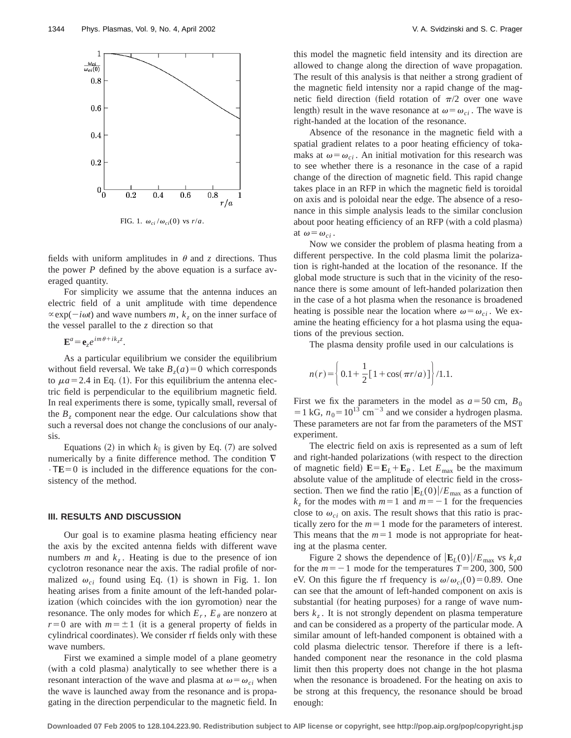

FIG. 1.  $\omega_{ci}/\omega_{ci}(0)$  vs  $r/a$ .

fields with uniform amplitudes in  $\theta$  and *z* directions. Thus the power *P* defined by the above equation is a surface averaged quantity.

For simplicity we assume that the antenna induces an electric field of a unit amplitude with time dependence  $\propto$ exp( $-i\omega t$ ) and wave numbers *m*, *k<sub>z</sub>* on the inner surface of the vessel parallel to the *z* direction so that

 $\mathbf{E}^a = \mathbf{e}_z e^{im\theta + ik_z z}$ .

As a particular equilibrium we consider the equilibrium without field reversal. We take  $B_7(a)=0$  which corresponds to  $\mu a = 2.4$  in Eq. (1). For this equilibrium the antenna electric field is perpendicular to the equilibrium magnetic field. In real experiments there is some, typically small, reversal of the  $B<sub>z</sub>$  component near the edge. Our calculations show that such a reversal does not change the conclusions of our analysis.

Equations (2) in which  $k_{\parallel}$  is given by Eq. (7) are solved numerically by a finite difference method. The condition  $\nabla$  $\cdot$ TE=0 is included in the difference equations for the consistency of the method.

### **III. RESULTS AND DISCUSSION**

Our goal is to examine plasma heating efficiency near the axis by the excited antenna fields with different wave numbers  $m$  and  $k_z$ . Heating is due to the presence of ion cyclotron resonance near the axis. The radial profile of normalized  $\omega_{ci}$  found using Eq. (1) is shown in Fig. 1. Ion heating arises from a finite amount of the left-handed polarization (which coincides with the ion gyromotion) near the resonance. The only modes for which  $E_r$ ,  $E_\theta$  are nonzero at  $r=0$  are with  $m=\pm 1$  (it is a general property of fields in cylindrical coordinates). We consider rf fields only with these wave numbers.

First we examined a simple model of a plane geometry (with a cold plasma) analytically to see whether there is a resonant interaction of the wave and plasma at  $\omega = \omega_{ci}$  when the wave is launched away from the resonance and is propagating in the direction perpendicular to the magnetic field. In this model the magnetic field intensity and its direction are allowed to change along the direction of wave propagation. The result of this analysis is that neither a strong gradient of the magnetic field intensity nor a rapid change of the magnetic field direction (field rotation of  $\pi/2$  over one wave length) result in the wave resonance at  $\omega = \omega_{ci}$ . The wave is right-handed at the location of the resonance.

Absence of the resonance in the magnetic field with a spatial gradient relates to a poor heating efficiency of tokamaks at  $\omega = \omega_{ci}$ . An initial motivation for this research was to see whether there is a resonance in the case of a rapid change of the direction of magnetic field. This rapid change takes place in an RFP in which the magnetic field is toroidal on axis and is poloidal near the edge. The absence of a resonance in this simple analysis leads to the similar conclusion about poor heating efficiency of an RFP (with a cold plasma) at  $\omega = \omega_{ci}$ .

Now we consider the problem of plasma heating from a different perspective. In the cold plasma limit the polarization is right-handed at the location of the resonance. If the global mode structure is such that in the vicinity of the resonance there is some amount of left-handed polarization then in the case of a hot plasma when the resonance is broadened heating is possible near the location where  $\omega = \omega_{ci}$ . We examine the heating efficiency for a hot plasma using the equations of the previous section.

The plasma density profile used in our calculations is

$$
n(r) = \left\{ 0.1 + \frac{1}{2} [1 + \cos(\pi r/a)] \right\} / 1.1.
$$

First we fix the parameters in the model as  $a = 50$  cm,  $B_0$  $=1 \text{ kG}, n_0=10^{13} \text{ cm}^{-3}$  and we consider a hydrogen plasma. These parameters are not far from the parameters of the MST experiment.

The electric field on axis is represented as a sum of left and right-handed polarizations (with respect to the direction of magnetic field)  $\mathbf{E} = \mathbf{E}_L + \mathbf{E}_R$ . Let  $E_{\text{max}}$  be the maximum absolute value of the amplitude of electric field in the crosssection. Then we find the ratio  $|\mathbf{E}_{L}(0)|/E_{\text{max}}$  as a function of  $k_z$  for the modes with  $m=1$  and  $m=-1$  for the frequencies close to  $\omega_{ci}$  on axis. The result shows that this ratio is practically zero for the  $m=1$  mode for the parameters of interest. This means that the  $m=1$  mode is not appropriate for heating at the plasma center.

Figure 2 shows the dependence of  $|\mathbf{E}_{L}(0)|/E_{\text{max}}$  vs  $k_{z}a$ for the  $m=-1$  mode for the temperatures  $T=200, 300, 500$ eV. On this figure the rf frequency is  $\omega/\omega_{ci}(0) = 0.89$ . One can see that the amount of left-handed component on axis is substantial (for heating purposes) for a range of wave numbers  $k_z$ . It is not strongly dependent on plasma temperature and can be considered as a property of the particular mode. A similar amount of left-handed component is obtained with a cold plasma dielectric tensor. Therefore if there is a lefthanded component near the resonance in the cold plasma limit then this property does not change in the hot plasma when the resonance is broadened. For the heating on axis to be strong at this frequency, the resonance should be broad enough: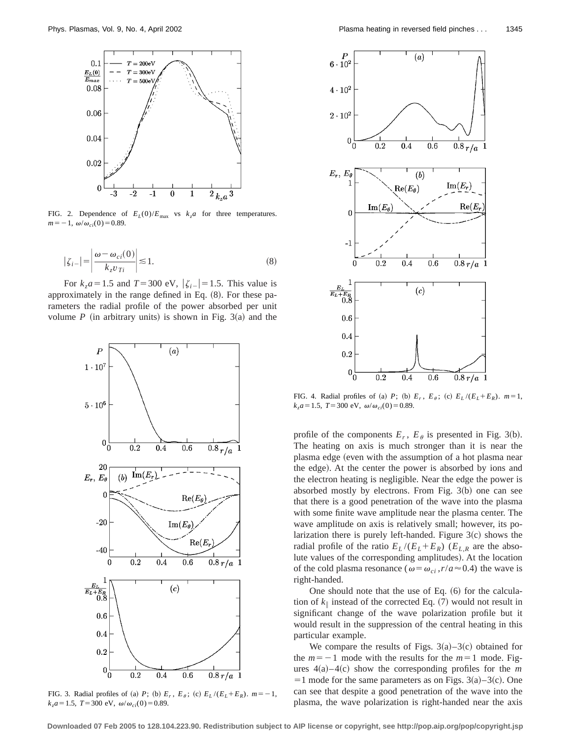

FIG. 2. Dependence of  $E_L(0)/E_{\text{max}}$  vs  $k_z a$  for three temperatures.  $m=-1, \omega/\omega_{ci}(0)=0.89.$ 

$$
|\zeta_{i-}| = \left| \frac{\omega - \omega_{ci}(0)}{k_z v_{Ti}} \right| \lesssim 1.
$$
 (8)

For  $k_z a = 1.5$  and  $T = 300$  eV,  $|\zeta_i| = 1.5$ . This value is approximately in the range defined in Eq.  $(8)$ . For these parameters the radial profile of the power absorbed per unit volume  $P$  (in arbitrary units) is shown in Fig. 3(a) and the



FIG. 3. Radial profiles of (a) *P*; (b)  $E_r$ ,  $E_\theta$ ; (c)  $E_L / (E_L + E_R)$ .  $m = -1$ ,  $k_z a = 1.5$ ,  $T = 300$  eV,  $\omega/\omega_{ci}(0) = 0.89$ .



FIG. 4. Radial profiles of (a) *P*; (b)  $E_r$ ,  $E_\theta$ ; (c)  $E_L / (E_L + E_R)$ .  $m=1$ ,  $k_z a = 1.5$ ,  $T = 300$  eV,  $\omega/\omega_{ci}(0) = 0.89$ .

profile of the components  $E_r$ ,  $E_\theta$  is presented in Fig. 3(b). The heating on axis is much stronger than it is near the plasma edge (even with the assumption of a hot plasma near the edge). At the center the power is absorbed by ions and the electron heating is negligible. Near the edge the power is absorbed mostly by electrons. From Fig.  $3(b)$  one can see that there is a good penetration of the wave into the plasma with some finite wave amplitude near the plasma center. The wave amplitude on axis is relatively small; however, its polarization there is purely left-handed. Figure  $3(c)$  shows the radial profile of the ratio  $E_L / (E_L + E_R)$  ( $E_{L,R}$  are the absolute values of the corresponding amplitudes). At the location of the cold plasma resonance ( $\omega = \omega_{ci}$ ,  $r/a \approx 0.4$ ) the wave is right-handed.

One should note that the use of Eq.  $(6)$  for the calculation of  $k_{\parallel}$  instead of the corrected Eq. (7) would not result in significant change of the wave polarization profile but it would result in the suppression of the central heating in this particular example.

We compare the results of Figs.  $3(a) - 3(c)$  obtained for the  $m=-1$  mode with the results for the  $m=1$  mode. Figures  $4(a) - 4(c)$  show the corresponding profiles for the *m*  $=1$  mode for the same parameters as on Figs. 3(a)–3(c). One can see that despite a good penetration of the wave into the plasma, the wave polarization is right-handed near the axis

**Downloaded 07 Feb 2005 to 128.104.223.90. Redistribution subject to AIP license or copyright, see http://pop.aip.org/pop/copyright.jsp**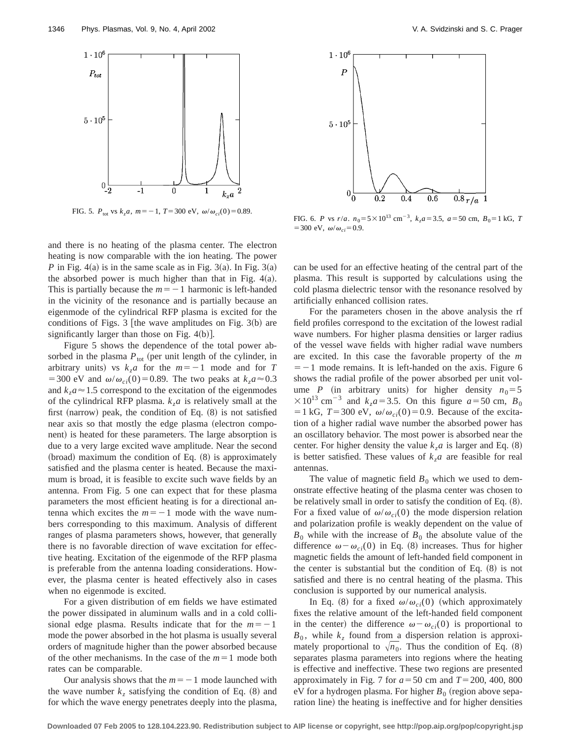

FIG. 5.  $P_{\text{tot}}$  vs  $k_z a$ ,  $m = -1$ ,  $T = 300 \text{ eV}$ ,  $\omega/\omega_{ci}(0) = 0.89$ .

and there is no heating of the plasma center. The electron heating is now comparable with the ion heating. The power *P* in Fig. 4(a) is in the same scale as in Fig. 3(a). In Fig. 3(a) the absorbed power is much higher than that in Fig.  $4(a)$ . This is partially because the  $m=-1$  harmonic is left-handed in the vicinity of the resonance and is partially because an eigenmode of the cylindrical RFP plasma is excited for the conditions of Figs. 3 [the wave amplitudes on Fig. 3(b) are significantly larger than those on Fig.  $4(b)$ .

Figure 5 shows the dependence of the total power absorbed in the plasma  $P_{\text{tot}}$  (per unit length of the cylinder, in arbitrary units) vs  $k_7a$  for the  $m=-1$  mode and for *T* =300 eV and  $\omega/\omega_{ci}(0)$ =0.89. The two peaks at  $k_z a \approx 0.3$ and  $k_7a \approx 1.5$  correspond to the excitation of the eigenmodes of the cylindrical RFP plasma.  $k<sub>z</sub>a$  is relatively small at the first (narrow) peak, the condition of Eq.  $(8)$  is not satisfied near axis so that mostly the edge plasma (electron component) is heated for these parameters. The large absorption is due to a very large excited wave amplitude. Near the second  $(broad)$  maximum the condition of Eq.  $(8)$  is approximately satisfied and the plasma center is heated. Because the maximum is broad, it is feasible to excite such wave fields by an antenna. From Fig. 5 one can expect that for these plasma parameters the most efficient heating is for a directional antenna which excites the  $m=-1$  mode with the wave numbers corresponding to this maximum. Analysis of different ranges of plasma parameters shows, however, that generally there is no favorable direction of wave excitation for effective heating. Excitation of the eigenmode of the RFP plasma is preferable from the antenna loading considerations. However, the plasma center is heated effectively also in cases when no eigenmode is excited.

For a given distribution of em fields we have estimated the power dissipated in aluminum walls and in a cold collisional edge plasma. Results indicate that for the  $m=-1$ mode the power absorbed in the hot plasma is usually several orders of magnitude higher than the power absorbed because of the other mechanisms. In the case of the  $m=1$  mode both rates can be comparable.

Our analysis shows that the  $m=-1$  mode launched with the wave number  $k_z$  satisfying the condition of Eq.  $(8)$  and for which the wave energy penetrates deeply into the plasma,



FIG. 6. *P* vs  $r/a$ .  $n_0 = 5 \times 10^{13}$  cm<sup>-3</sup>,  $k_7a = 3.5$ ,  $a = 50$  cm,  $B_0 = 1$  kG, *T*  $=300 \text{ eV}, \omega/\omega_{ci} = 0.9.$ 

can be used for an effective heating of the central part of the plasma. This result is supported by calculations using the cold plasma dielectric tensor with the resonance resolved by artificially enhanced collision rates.

For the parameters chosen in the above analysis the rf field profiles correspond to the excitation of the lowest radial wave numbers. For higher plasma densities or larger radius of the vessel wave fields with higher radial wave numbers are excited. In this case the favorable property of the *m*  $=$  -1 mode remains. It is left-handed on the axis. Figure 6 shows the radial profile of the power absorbed per unit volume *P* (in arbitrary units) for higher density  $n_0 = 5$  $\times$ 10<sup>13</sup> cm<sup>-3</sup> and *k<sub>z</sub>a*=3.5. On this figure *a*=50 cm, *B*<sub>0</sub>  $=1 \text{ kG}, T=300 \text{ eV}, \omega/\omega_{ci}(0)=0.9$ . Because of the excitation of a higher radial wave number the absorbed power has an oscillatory behavior. The most power is absorbed near the center. For higher density the value  $k_z a$  is larger and Eq.  $(8)$ is better satisfied. These values of  $k_z a$  are feasible for real antennas.

The value of magnetic field  $B_0$  which we used to demonstrate effective heating of the plasma center was chosen to be relatively small in order to satisfy the condition of Eq.  $(8)$ . For a fixed value of  $\omega/\omega_{ci}(0)$  the mode dispersion relation and polarization profile is weakly dependent on the value of  $B_0$  while with the increase of  $B_0$  the absolute value of the difference  $\omega - \omega_{ci}(0)$  in Eq. (8) increases. Thus for higher magnetic fields the amount of left-handed field component in the center is substantial but the condition of Eq.  $(8)$  is not satisfied and there is no central heating of the plasma. This conclusion is supported by our numerical analysis.

In Eq. (8) for a fixed  $\omega/\omega_{ci}(0)$  (which approximately fixes the relative amount of the left-handed field component in the center) the difference  $\omega - \omega_{ci}(0)$  is proportional to  $B_0$ , while  $k_z$  found from a dispersion relation is approximately proportional to  $\sqrt{n_0}$ . Thus the condition of Eq. (8) separates plasma parameters into regions where the heating is effective and ineffective. These two regions are presented approximately in Fig. 7 for  $a = 50$  cm and  $T = 200, 400, 800$ eV for a hydrogen plasma. For higher  $B_0$  (region above separation line) the heating is ineffective and for higher densities